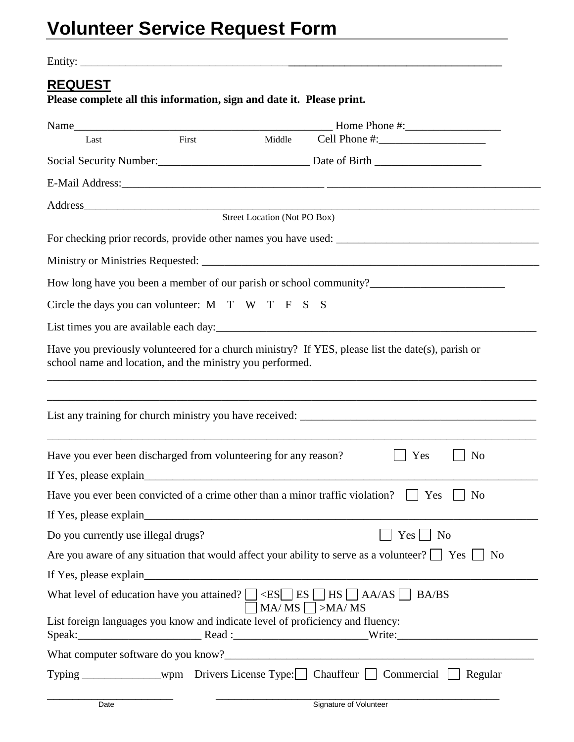Entity: \_\_\_\_\_\_\_\_\_\_\_\_\_\_\_\_\_\_\_\_\_\_\_\_\_\_\_\_\_\_\_\_\_\_\_\_\_**\_\_\_\_\_\_\_\_\_\_\_\_\_\_\_\_\_\_\_\_\_\_\_\_\_\_\_\_\_\_\_\_\_\_\_\_\_\_**

## **REQUEST**

**Please complete all this information, sign and date it. Please print.**

| Last                                                                           | First | Middle |                                                                                                                                                                                        |  |  |  |
|--------------------------------------------------------------------------------|-------|--------|----------------------------------------------------------------------------------------------------------------------------------------------------------------------------------------|--|--|--|
|                                                                                |       |        |                                                                                                                                                                                        |  |  |  |
|                                                                                |       |        |                                                                                                                                                                                        |  |  |  |
|                                                                                |       |        |                                                                                                                                                                                        |  |  |  |
| Address Street Location (Not PO Box)                                           |       |        |                                                                                                                                                                                        |  |  |  |
| For checking prior records, provide other names you have used:                 |       |        |                                                                                                                                                                                        |  |  |  |
|                                                                                |       |        |                                                                                                                                                                                        |  |  |  |
|                                                                                |       |        |                                                                                                                                                                                        |  |  |  |
| Circle the days you can volunteer: $M$ T W T F S S                             |       |        |                                                                                                                                                                                        |  |  |  |
|                                                                                |       |        |                                                                                                                                                                                        |  |  |  |
| school name and location, and the ministry you performed.                      |       |        | Have you previously volunteered for a church ministry? If YES, please list the date(s), parish or<br>,我们也不能在这里的时候,我们也不能在这里的时候,我们也不能在这里的时候,我们也不能会在这里的时候,我们也不能会在这里的时候,我们也不能会在这里的时候,我们也不能 |  |  |  |
|                                                                                |       |        |                                                                                                                                                                                        |  |  |  |
| Have you ever been discharged from volunteering for any reason?                |       |        | Yes<br>N <sub>0</sub>                                                                                                                                                                  |  |  |  |
|                                                                                |       |        | Have you ever been convicted of a crime other than a minor traffic violation? $\Box$ Yes<br>N <sub>0</sub>                                                                             |  |  |  |
|                                                                                |       |        |                                                                                                                                                                                        |  |  |  |
| Do you currently use illegal drugs?                                            |       |        | $Yes \bigsqcup No$                                                                                                                                                                     |  |  |  |
|                                                                                |       |        | Are you aware of any situation that would affect your ability to serve as a volunteer? $\Box$ Yes $\Box$ No                                                                            |  |  |  |
|                                                                                |       |        |                                                                                                                                                                                        |  |  |  |
|                                                                                |       |        | What level of education have you attained? $\Box \angle ES \Box ES \Box HS \Box AA/AS \Box BA/BS$<br>$MA/ MS$ $\Box$ >MA/MS                                                            |  |  |  |
| List foreign languages you know and indicate level of proficiency and fluency: |       |        |                                                                                                                                                                                        |  |  |  |
|                                                                                |       |        |                                                                                                                                                                                        |  |  |  |
|                                                                                |       |        | Typing _________________wpm Drivers License Type: Chauffeur □ Commercial □ Regular                                                                                                     |  |  |  |